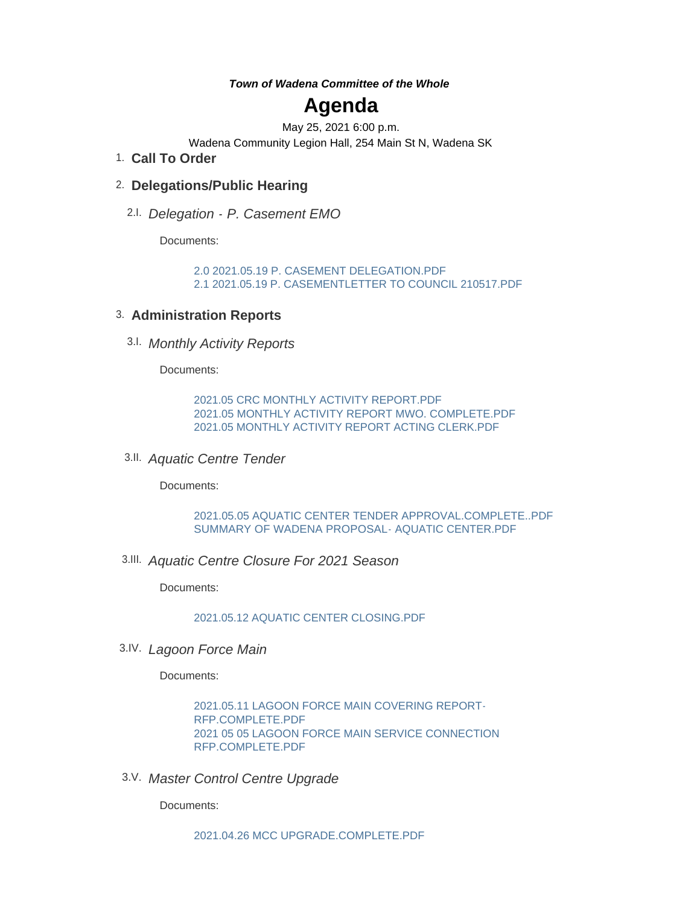*Town of Wadena Committee of the Whole*

# **Agenda**

May 25, 2021 6:00 p.m.

Wadena Community Legion Hall, 254 Main St N, Wadena SK

**Call To Order** 1.

### **Delegations/Public Hearing** 2.

*Delegation - P. Casement EMO* 2.I.

Documents:

[2.0 2021.05.19 P. CASEMENT DELEGATION.PDF](http://www.townofwadena.com/AgendaCenter/ViewFile/Item/2676?fileID=3127) [2.1 2021.05.19 P. CASEMENTLETTER TO COUNCIL 210517.PDF](http://www.townofwadena.com/AgendaCenter/ViewFile/Item/2676?fileID=3128)

### **Administration Reports** 3.

*Monthly Activity Reports*  3.I.

Documents:

[2021.05 CRC MONTHLY ACTIVITY REPORT.PDF](http://www.townofwadena.com/AgendaCenter/ViewFile/Item/2660?fileID=3094) [2021.05 MONTHLY ACTIVITY REPORT MWO. COMPLETE.PDF](http://www.townofwadena.com/AgendaCenter/ViewFile/Item/2660?fileID=3095) [2021.05 MONTHLY ACTIVITY REPORT ACTING CLERK.PDF](http://www.townofwadena.com/AgendaCenter/ViewFile/Item/2660?fileID=3096)

*Aquatic Centre Tender*  3.II.

Documents:

[2021.05.05 AQUATIC CENTER TENDER APPROVAL.COMPLETE..PDF](http://www.townofwadena.com/AgendaCenter/ViewFile/Item/2661?fileID=3097) [SUMMARY OF WADENA PROPOSAL- AQUATIC CENTER.PDF](http://www.townofwadena.com/AgendaCenter/ViewFile/Item/2661?fileID=3098)

*Aquatic Centre Closure For 2021 Season* 3.III.

Documents:

[2021.05.12 AQUATIC CENTER CLOSING.PDF](http://www.townofwadena.com/AgendaCenter/ViewFile/Item/2662?fileID=3099)

*Lagoon Force Main* 3.IV.

Documents:

[2021.05.11 LAGOON FORCE MAIN COVERING REPORT-](http://www.townofwadena.com/AgendaCenter/ViewFile/Item/2663?fileID=3100)RFP.COMPLETE.PDF [2021 05 05 LAGOON FORCE MAIN SERVICE CONNECTION](http://www.townofwadena.com/AgendaCenter/ViewFile/Item/2663?fileID=3101)  RFP.COMPLETE.PDF

*Master Control Centre Upgrade* 3.V.

Documents: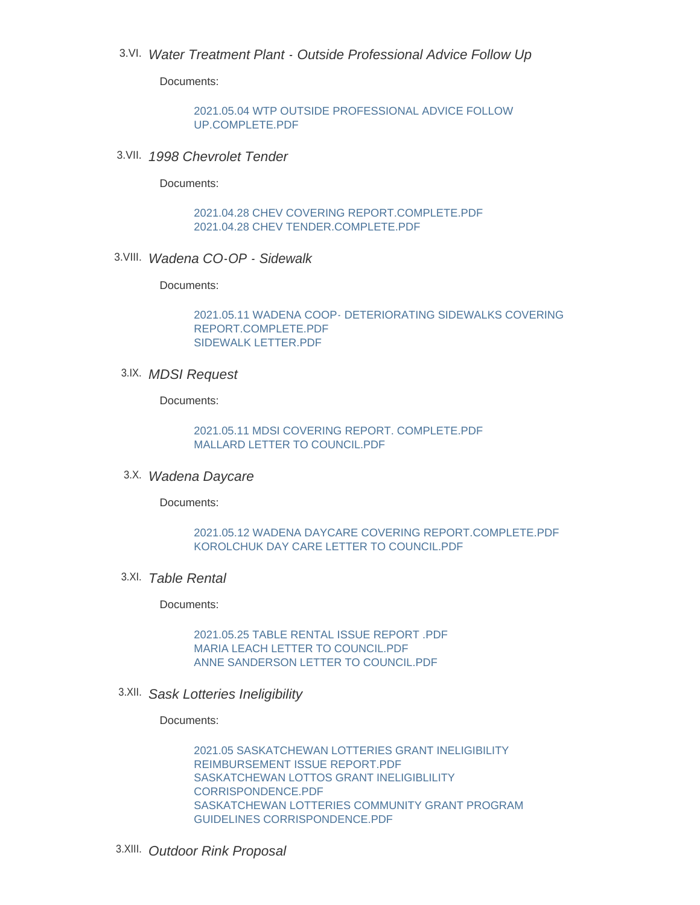## *Water Treatment Plant - Outside Professional Advice Follow Up* 3.VI.

Documents:

[2021.05.04 WTP OUTSIDE PROFESSIONAL ADVICE FOLLOW](http://www.townofwadena.com/AgendaCenter/ViewFile/Item/2665?fileID=3103)  UP.COMPLETE.PDF

*1998 Chevrolet Tender*  3.VII.

Documents:

[2021.04.28 CHEV COVERING REPORT.COMPLETE.PDF](http://www.townofwadena.com/AgendaCenter/ViewFile/Item/2666?fileID=3104) [2021.04.28 CHEV TENDER.COMPLETE.PDF](http://www.townofwadena.com/AgendaCenter/ViewFile/Item/2666?fileID=3105)

*Wadena CO-OP - Sidewalk*  3.VIII.

Documents:

[2021.05.11 WADENA COOP- DETERIORATING SIDEWALKS COVERING](http://www.townofwadena.com/AgendaCenter/ViewFile/Item/2667?fileID=3106)  REPORT.COMPLETE.PDF [SIDEWALK LETTER.PDF](http://www.townofwadena.com/AgendaCenter/ViewFile/Item/2667?fileID=3107)

*MDSI Request* 3.IX.

Documents:

[2021.05.11 MDSI COVERING REPORT. COMPLETE.PDF](http://www.townofwadena.com/AgendaCenter/ViewFile/Item/2669?fileID=3110) [MALLARD LETTER TO COUNCIL.PDF](http://www.townofwadena.com/AgendaCenter/ViewFile/Item/2669?fileID=3111)

*Wadena Daycare* 3.X.

Documents:

#### [2021.05.12 WADENA DAYCARE COVERING REPORT.COMPLETE.PDF](http://www.townofwadena.com/AgendaCenter/ViewFile/Item/2668?fileID=3108) [KOROLCHUK DAY CARE LETTER TO COUNCIL.PDF](http://www.townofwadena.com/AgendaCenter/ViewFile/Item/2668?fileID=3109)

*Table Rental*  3.XI.

Documents:

[2021.05.25 TABLE RENTAL ISSUE REPORT .PDF](http://www.townofwadena.com/AgendaCenter/ViewFile/Item/2673?fileID=3120) [MARIA LEACH LETTER TO COUNCIL.PDF](http://www.townofwadena.com/AgendaCenter/ViewFile/Item/2673?fileID=3121) [ANNE SANDERSON LETTER TO COUNCIL.PDF](http://www.townofwadena.com/AgendaCenter/ViewFile/Item/2673?fileID=3122)

*Sask Lotteries Ineligibility*  3.XII.

Documents:

[2021.05 SASKATCHEWAN LOTTERIES GRANT INELIGIBILITY](http://www.townofwadena.com/AgendaCenter/ViewFile/Item/2671?fileID=3115)  REIMBURSEMENT ISSUE REPORT PDF [SASKATCHEWAN LOTTOS GRANT INELIGIBLILITY](http://www.townofwadena.com/AgendaCenter/ViewFile/Item/2671?fileID=3116)  CORRISPONDENCE.PDF [SASKATCHEWAN LOTTERIES COMMUNITY GRANT PROGRAM](http://www.townofwadena.com/AgendaCenter/ViewFile/Item/2671?fileID=3117)  GUIDELINES CORRISPONDENCE.PDF

*Outdoor Rink Proposal*  3.XIII.